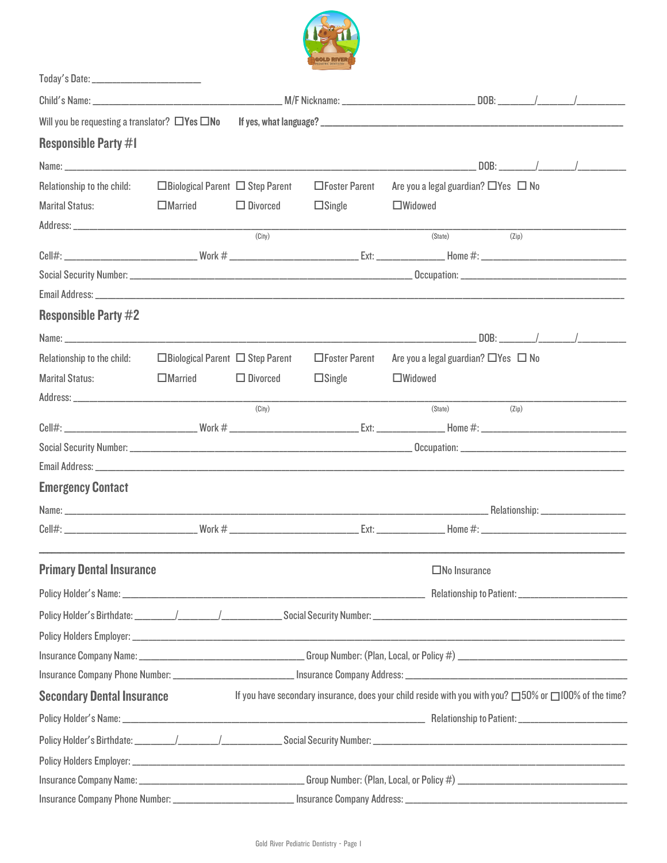

| Will you be requesting a translator? $\Box$ Yes $\Box$ No |                                             |                 |                      |                                                                                                       |       |  |  |
|-----------------------------------------------------------|---------------------------------------------|-----------------|----------------------|-------------------------------------------------------------------------------------------------------|-------|--|--|
| <b>Responsible Party #1</b>                               |                                             |                 |                      |                                                                                                       |       |  |  |
|                                                           |                                             |                 |                      |                                                                                                       |       |  |  |
| Relationship to the child:                                | $\Box$ Biological Parent $\Box$ Step Parent |                 | $\Box$ Foster Parent | Are you a legal guardian? $\Box$ Yes $\Box$ No                                                        |       |  |  |
| <b>Marital Status:</b>                                    | $\Box$ Married                              | $\Box$ Divorced | $\Box$ Single        | $\Box$ Widowed                                                                                        |       |  |  |
|                                                           |                                             | (City)          |                      |                                                                                                       |       |  |  |
|                                                           |                                             |                 |                      | (State)                                                                                               | (Zip) |  |  |
|                                                           |                                             |                 |                      |                                                                                                       |       |  |  |
|                                                           |                                             |                 |                      |                                                                                                       |       |  |  |
| <b>Responsible Party #2</b>                               |                                             |                 |                      |                                                                                                       |       |  |  |
|                                                           |                                             |                 |                      |                                                                                                       |       |  |  |
| Relationship to the child:                                | $\Box$ Biological Parent $\Box$ Step Parent |                 | □Foster Parent       | Are you a legal guardian? $\Box$ Yes $\Box$ No                                                        |       |  |  |
| <b>Marital Status:</b>                                    | $\square$ Married                           | $\Box$ Divorced | $\square$ Single     | $\Box$ Widowed                                                                                        |       |  |  |
|                                                           |                                             |                 |                      |                                                                                                       |       |  |  |
|                                                           |                                             | (City)          |                      | (State)                                                                                               | (Zip) |  |  |
|                                                           |                                             |                 |                      |                                                                                                       |       |  |  |
|                                                           |                                             |                 |                      |                                                                                                       |       |  |  |
|                                                           |                                             |                 |                      |                                                                                                       |       |  |  |
| <b>Emergency Contact</b>                                  |                                             |                 |                      |                                                                                                       |       |  |  |
|                                                           |                                             |                 |                      |                                                                                                       |       |  |  |
|                                                           |                                             |                 |                      |                                                                                                       |       |  |  |
| <b>Primary Dental Insurance</b>                           |                                             |                 |                      | $\square$ No Insurance                                                                                |       |  |  |
|                                                           |                                             |                 |                      |                                                                                                       |       |  |  |
|                                                           |                                             |                 |                      |                                                                                                       |       |  |  |
|                                                           |                                             |                 |                      |                                                                                                       |       |  |  |
|                                                           |                                             |                 |                      |                                                                                                       |       |  |  |
|                                                           |                                             |                 |                      |                                                                                                       |       |  |  |
| <b>Secondary Dental Insurance</b>                         |                                             |                 |                      | If you have secondary insurance, does your child reside with you with you? 050% or 0100% of the time? |       |  |  |
|                                                           |                                             |                 |                      |                                                                                                       |       |  |  |
|                                                           |                                             |                 |                      |                                                                                                       |       |  |  |
|                                                           |                                             |                 |                      |                                                                                                       |       |  |  |
|                                                           |                                             |                 |                      |                                                                                                       |       |  |  |
|                                                           |                                             |                 |                      |                                                                                                       |       |  |  |